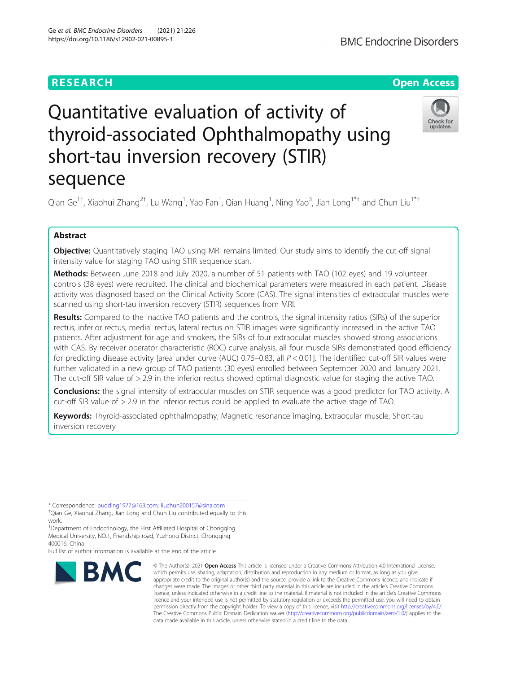# **RESEARCH CHE Open Access**

# Check for updates

# Quantitative evaluation of activity of thyroid-associated Ophthalmopathy using short-tau inversion recovery (STIR) sequence

Qian Ge<sup>1†</sup>, Xiaohui Zhang<sup>2†</sup>, Lu Wang<sup>1</sup>, Yao Fan<sup>1</sup>, Qian Huang<sup>1</sup>, Ning Yao<sup>3</sup>, Jian Long<sup>1\*†</sup> and Chun Liu<sup>1\*†</sup>

# Abstract

Objective: Quantitatively staging TAO using MRI remains limited. Our study aims to identify the cut-off signal intensity value for staging TAO using STIR sequence scan.

Methods: Between June 2018 and July 2020, a number of 51 patients with TAO (102 eyes) and 19 volunteer controls (38 eyes) were recruited. The clinical and biochemical parameters were measured in each patient. Disease activity was diagnosed based on the Clinical Activity Score (CAS). The signal intensities of extraocular muscles were scanned using short-tau inversion recovery (STIR) sequences from MRI.

Results: Compared to the inactive TAO patients and the controls, the signal intensity ratios (SIRs) of the superior rectus, inferior rectus, medial rectus, lateral rectus on STIR images were significantly increased in the active TAO patients. After adjustment for age and smokers, the SIRs of four extraocular muscles showed strong associations with CAS. By receiver operator characteristic (ROC) curve analysis, all four muscle SIRs demonstrated good efficiency for predicting disease activity [area under curve (AUC) 0.75–0.83, all P < 0.01]. The identified cut-off SIR values were further validated in a new group of TAO patients (30 eyes) enrolled between September 2020 and January 2021. The cut-off SIR value of > 2.9 in the inferior rectus showed optimal diagnostic value for staging the active TAO.

Conclusions: the signal intensity of extraocular muscles on STIR sequence was a good predictor for TAO activity. A cut-off SIR value of > 2.9 in the inferior rectus could be applied to evaluate the active stage of TAO.

Keywords: Thyroid-associated ophthalmopathy, Magnetic resonance imaging, Extraocular muscle, Short-tau inversion recovery

Full list of author information is available at the end of the article



© The Author(s), 2021 **Open Access** This article is licensed under a Creative Commons Attribution 4.0 International License, which permits use, sharing, adaptation, distribution and reproduction in any medium or format, as long as you give appropriate credit to the original author(s) and the source, provide a link to the Creative Commons licence, and indicate if changes were made. The images or other third party material in this article are included in the article's Creative Commons licence, unless indicated otherwise in a credit line to the material. If material is not included in the article's Creative Commons licence and your intended use is not permitted by statutory regulation or exceeds the permitted use, you will need to obtain permission directly from the copyright holder. To view a copy of this licence, visit [http://creativecommons.org/licenses/by/4.0/.](http://creativecommons.org/licenses/by/4.0/) The Creative Commons Public Domain Dedication waiver [\(http://creativecommons.org/publicdomain/zero/1.0/](http://creativecommons.org/publicdomain/zero/1.0/)) applies to the data made available in this article, unless otherwise stated in a credit line to the data.

<sup>\*</sup> Correspondence: [pudding1977@163.com](mailto:pudding1977@163.com); [liuchun200157@sina.com](mailto:liuchun200157@sina.com) †

<sup>&</sup>lt;sup>+</sup>Qian Ge, Xiaohui Zhang, Jian Long and Chun Liu contributed equally to this work.

<sup>&</sup>lt;sup>1</sup>Department of Endocrinology, the First Affiliated Hospital of Chongqing Medical University, NO.1, Friendship road, Yuzhong District, Chongqing 400016, China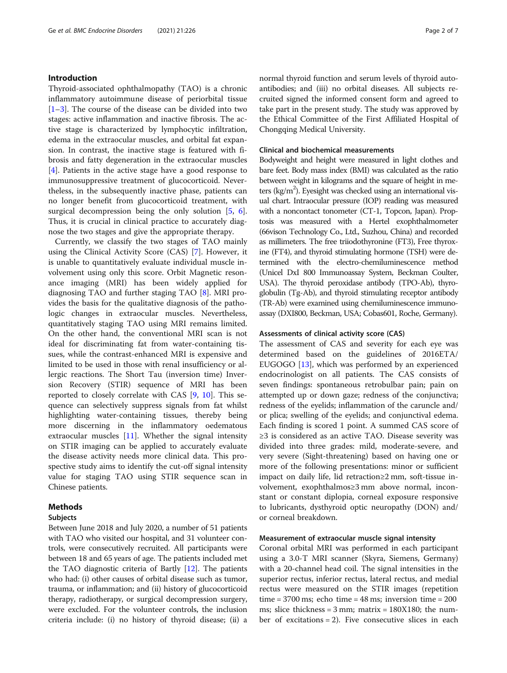# Introduction

Thyroid-associated ophthalmopathy (TAO) is a chronic inflammatory autoimmune disease of periorbital tissue  $[1-3]$  $[1-3]$  $[1-3]$  $[1-3]$ . The course of the disease can be divided into two stages: active inflammation and inactive fibrosis. The active stage is characterized by lymphocytic infiltration, edema in the extraocular muscles, and orbital fat expansion. In contrast, the inactive stage is featured with fibrosis and fatty degeneration in the extraocular muscles [[4\]](#page-5-0). Patients in the active stage have a good response to immunosuppressive treatment of glucocorticoid. Nevertheless, in the subsequently inactive phase, patients can no longer benefit from glucocorticoid treatment, with surgical decompression being the only solution [\[5](#page-5-0), [6](#page-5-0)]. Thus, it is crucial in clinical practice to accurately diagnose the two stages and give the appropriate therapy.

Currently, we classify the two stages of TAO mainly using the Clinical Activity Score (CAS) [\[7](#page-5-0)]. However, it is unable to quantitatively evaluate individual muscle involvement using only this score. Orbit Magnetic resonance imaging (MRI) has been widely applied for diagnosing TAO and further staging TAO [[8\]](#page-5-0). MRI provides the basis for the qualitative diagnosis of the pathologic changes in extraocular muscles. Nevertheless, quantitatively staging TAO using MRI remains limited. On the other hand, the conventional MRI scan is not ideal for discriminating fat from water-containing tissues, while the contrast-enhanced MRI is expensive and limited to be used in those with renal insufficiency or allergic reactions. The Short Tau (inversion time) Inversion Recovery (STIR) sequence of MRI has been reported to closely correlate with CAS [\[9](#page-5-0), [10](#page-5-0)]. This sequence can selectively suppress signals from fat whilst highlighting water-containing tissues, thereby being more discerning in the inflammatory oedematous extraocular muscles [\[11\]](#page-5-0). Whether the signal intensity on STIR imaging can be applied to accurately evaluate the disease activity needs more clinical data. This prospective study aims to identify the cut-off signal intensity value for staging TAO using STIR sequence scan in Chinese patients.

# Methods

#### Subjects

Between June 2018 and July 2020, a number of 51 patients with TAO who visited our hospital, and 31 volunteer controls, were consecutively recruited. All participants were between 18 and 65 years of age. The patients included met the TAO diagnostic criteria of Bartly [[12](#page-5-0)]. The patients who had: (i) other causes of orbital disease such as tumor, trauma, or inflammation; and (ii) history of glucocorticoid therapy, radiotherapy, or surgical decompression surgery, were excluded. For the volunteer controls, the inclusion criteria include: (i) no history of thyroid disease; (ii) a normal thyroid function and serum levels of thyroid autoantibodies; and (iii) no orbital diseases. All subjects recruited signed the informed consent form and agreed to take part in the present study. The study was approved by the Ethical Committee of the First Affiliated Hospital of Chongqing Medical University.

### Clinical and biochemical measurements

Bodyweight and height were measured in light clothes and bare feet. Body mass index (BMI) was calculated as the ratio between weight in kilograms and the square of height in meters (kg/m<sup>2</sup>). Eyesight was checked using an international visual chart. Intraocular pressure (IOP) reading was measured with a noncontact tonometer (CT-1, Topcon, Japan). Proptosis was measured with a Hertel exophthalmometer (66vison Technology Co., Ltd., Suzhou, China) and recorded as millimeters. The free triiodothyronine (FT3), Free thyroxine (FT4), and thyroid stimulating hormone (TSH) were determined with the electro-chemiluminescence method (Unicel DxI 800 Immunoassay System, Beckman Coulter, USA). The thyroid peroxidase antibody (TPO-Ab), thyroglobulin (Tg-Ab), and thyroid stimulating receptor antibody (TR-Ab) were examined using chemiluminescence immunoassay (DXI800, Beckman, USA; Cobas601, Roche, Germany).

### Assessments of clinical activity score (CAS)

The assessment of CAS and severity for each eye was determined based on the guidelines of 2016ETA/ EUGOGO [[13](#page-5-0)], which was performed by an experienced endocrinologist on all patients. The CAS consists of seven findings: spontaneous retrobulbar pain; pain on attempted up or down gaze; redness of the conjunctiva; redness of the eyelids; inflammation of the caruncle and/ or plica; swelling of the eyelids; and conjunctival edema. Each finding is scored 1 point. A summed CAS score of ≥3 is considered as an active TAO. Disease severity was divided into three grades: mild, moderate-severe, and very severe (Sight-threatening) based on having one or more of the following presentations: minor or sufficient impact on daily life, lid retraction≥2 mm, soft-tissue involvement, exophthalmos≥3 mm above normal, inconstant or constant diplopia, corneal exposure responsive to lubricants, dysthyroid optic neuropathy (DON) and/ or corneal breakdown.

### Measurement of extraocular muscle signal intensity

Coronal orbital MRI was performed in each participant using a 3.0-T MRI scanner (Skyra, Siemens, Germany) with a 20-channel head coil. The signal intensities in the superior rectus, inferior rectus, lateral rectus, and medial rectus were measured on the STIR images (repetition time = 3700 ms; echo time = 48 ms; inversion time = 200 ms; slice thickness =  $3 \text{ mm}$ ; matrix =  $180X180$ ; the number of excitations = 2). Five consecutive slices in each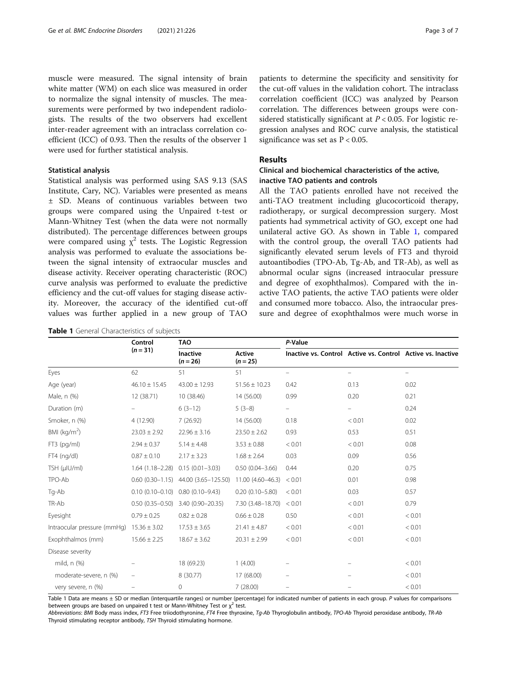muscle were measured. The signal intensity of brain white matter (WM) on each slice was measured in order to normalize the signal intensity of muscles. The measurements were performed by two independent radiologists. The results of the two observers had excellent inter-reader agreement with an intraclass correlation coefficient (ICC) of 0.93. Then the results of the observer 1 were used for further statistical analysis.

## Statistical analysis

Statistical analysis was performed using SAS 9.13 (SAS Institute, Cary, NC). Variables were presented as means ± SD. Means of continuous variables between two groups were compared using the Unpaired t-test or Mann-Whitney Test (when the data were not normally distributed). The percentage differences between groups were compared using  $\chi^2$  tests. The Logistic Regression analysis was performed to evaluate the associations between the signal intensity of extraocular muscles and disease activity. Receiver operating characteristic (ROC) curve analysis was performed to evaluate the predictive efficiency and the cut-off values for staging disease activity. Moreover, the accuracy of the identified cut-off values was further applied in a new group of TAO

|  |  |  | Table 1 General Characteristics of subjects |  |  |
|--|--|--|---------------------------------------------|--|--|
|--|--|--|---------------------------------------------|--|--|

patients to determine the specificity and sensitivity for the cut-off values in the validation cohort. The intraclass correlation coefficient (ICC) was analyzed by Pearson correlation. The differences between groups were considered statistically significant at  $P < 0.05$ . For logistic regression analyses and ROC curve analysis, the statistical significance was set as  $P < 0.05$ .

# Results

# Clinical and biochemical characteristics of the active, inactive TAO patients and controls

All the TAO patients enrolled have not received the anti-TAO treatment including glucocorticoid therapy, radiotherapy, or surgical decompression surgery. Most patients had symmetrical activity of GO, except one had unilateral active GO. As shown in Table 1, compared with the control group, the overall TAO patients had significantly elevated serum levels of FT3 and thyroid autoantibodies (TPO-Ab, Tg-Ab, and TR-Ab), as well as abnormal ocular signs (increased intraocular pressure and degree of exophthalmos). Compared with the inactive TAO patients, the active TAO patients were older and consumed more tobacco. Also, the intraocular pressure and degree of exophthalmos were much worse in

|                             | Control<br>$(n = 31)$ | <b>TAO</b>             |                             | P-Value                                                     |                   |                          |  |
|-----------------------------|-----------------------|------------------------|-----------------------------|-------------------------------------------------------------|-------------------|--------------------------|--|
|                             |                       | Inactive<br>$(n = 26)$ | <b>Active</b><br>$(n = 25)$ | Inactive vs. Control Active vs. Control Active vs. Inactive |                   |                          |  |
| Eyes                        | 62                    | 51                     | 51                          | $\overline{\phantom{0}}$                                    | $\qquad \qquad -$ | $\overline{\phantom{m}}$ |  |
| Age (year)                  | $46.10 \pm 15.45$     | $43.00 \pm 12.93$      | $51.56 \pm 10.23$           | 0.42                                                        | 0.13              | 0.02                     |  |
| Male, n (%)                 | 12 (38.71)            | 10 (38.46)             | 14 (56.00)                  | 0.99                                                        | 0.20              | 0.21                     |  |
| Duration (m)                |                       | $6(3-12)$              | $5(3-8)$                    | $\qquad \qquad -$                                           | -                 | 0.24                     |  |
| Smoker, n (%)               | 4 (12.90)             | 7(26.92)               | 14 (56.00)                  | 0.18                                                        | < 0.01            | 0.02                     |  |
| BMI ( $kg/m2$ )             | $23.03 \pm 2.92$      | $22.96 \pm 3.16$       | $23.50 \pm 2.62$            | 0.93                                                        | 0.53              | 0.51                     |  |
| $FT3$ (pg/ml)               | $2.94 \pm 0.37$       | $5.14 \pm 4.48$        | $3.53 \pm 0.88$             | < 0.01                                                      | < 0.01            | 0.08                     |  |
| $FT4$ (ng/dl)               | $0.87 \pm 0.10$       | $2.17 \pm 3.23$        | $1.68 \pm 2.64$             | 0.03                                                        | 0.09              | 0.56                     |  |
| TSH (µIU/ml)                | $1.64(1.18 - 2.28)$   | $0.15(0.01 - 3.03)$    | $0.50(0.04 - 3.66)$         | 0.44                                                        | 0.20              | 0.75                     |  |
| TPO-Ab                      | $0.60(0.30-1.15)$     | 44.00 (3.65-125.50)    | 11.00 (4.60-46.3)           | < 0.01                                                      | 0.01              | 0.98                     |  |
| Tg-Ab                       | $0.10(0.10 - 0.10)$   | $0.80(0.10 - 9.43)$    | $0.20(0.10 - 5.80)$         | < 0.01                                                      | 0.03              | 0.57                     |  |
| TR-Ab                       | $0.50(0.35 - 0.50)$   | 3.40 (0.90-20.35)      | 7.30 (3.48-18.70)           | < 0.01                                                      | < 0.01            | 0.79                     |  |
| Eyesight                    | $0.79 \pm 0.25$       | $0.82 \pm 0.28$        | $0.66 \pm 0.28$             | 0.50                                                        | < 0.01            | < 0.01                   |  |
| Intraocular pressure (mmHg) | $15.36 \pm 3.02$      | $17.53 \pm 3.65$       | $21.41 \pm 4.87$            | < 0.01                                                      | < 0.01            | < 0.01                   |  |
| Exophthalmos (mm)           | $15.66 \pm 2.25$      | $18.67 \pm 3.62$       | $20.31 \pm 2.99$            | < 0.01                                                      | < 0.01            | < 0.01                   |  |
| Disease severity            |                       |                        |                             |                                                             |                   |                          |  |
| mild, n (%)                 |                       | 18 (69.23)             | 1(4.00)                     |                                                             |                   | < 0.01                   |  |
| moderate-severe, n (%)      |                       | 8 (30.77)              | 17 (68.00)                  |                                                             |                   | < 0.01                   |  |
| very severe, n (%)          |                       | 0                      | 7(28.00)                    |                                                             |                   | < 0.01                   |  |

Table 1 Data are means ± SD or median (interquartile ranges) or number (percentage) for indicated number of patients in each group. P values for comparisons between groups are based on unpaired t test or Mann-Whitney Test or  $x^2$  test.

Abbreviations: BMI Body mass index, FT3 Free triiodothyronine, FT4 Free thyroxine, Tg-Ab Thyroglobulin antibody, TPO-Ab Thyroid peroxidase antibody, TR-Ab Thyroid stimulating receptor antibody, TSH Thyroid stimulating hormone.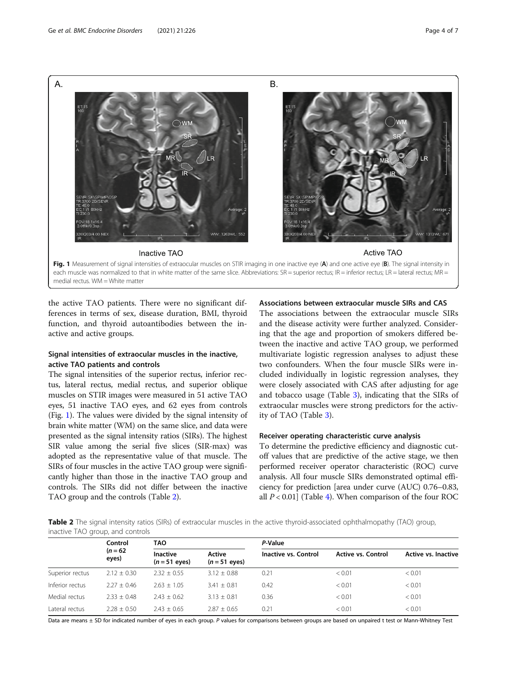

medial rectus. WM = White matter

the active TAO patients. There were no significant differences in terms of sex, disease duration, BMI, thyroid function, and thyroid autoantibodies between the inactive and active groups.

# Signal intensities of extraocular muscles in the inactive, active TAO patients and controls

The signal intensities of the superior rectus, inferior rectus, lateral rectus, medial rectus, and superior oblique muscles on STIR images were measured in 51 active TAO eyes, 51 inactive TAO eyes, and 62 eyes from controls (Fig. 1). The values were divided by the signal intensity of brain white matter (WM) on the same slice, and data were presented as the signal intensity ratios (SIRs). The highest SIR value among the serial five slices (SIR-max) was adopted as the representative value of that muscle. The SIRs of four muscles in the active TAO group were significantly higher than those in the inactive TAO group and controls. The SIRs did not differ between the inactive TAO group and the controls (Table 2).

# Associations between extraocular muscle SIRs and CAS

The associations between the extraocular muscle SIRs and the disease activity were further analyzed. Considering that the age and proportion of smokers differed between the inactive and active TAO group, we performed multivariate logistic regression analyses to adjust these two confounders. When the four muscle SIRs were included individually in logistic regression analyses, they were closely associated with CAS after adjusting for age and tobacco usage (Table [3\)](#page-4-0), indicating that the SIRs of extraocular muscles were strong predictors for the activity of TAO (Table [3\)](#page-4-0).

# Receiver operating characteristic curve analysis

To determine the predictive efficiency and diagnostic cutoff values that are predictive of the active stage, we then performed receiver operator characteristic (ROC) curve analysis. All four muscle SIRs demonstrated optimal efficiency for prediction [area under curve (AUC) 0.76–0.83, all  $P < 0.01$  (Table [4](#page-4-0)). When comparison of the four ROC

Table 2 The signal intensity ratios (SIRs) of extraocular muscles in the active thyroid-associated ophthalmopathy (TAO) group, inactive TAO group, and controls

|                 | Control             | <b>TAO</b>                       |                         | P-Value              |                           |                     |  |
|-----------------|---------------------|----------------------------------|-------------------------|----------------------|---------------------------|---------------------|--|
|                 | $(n = 62)$<br>eyes) | <b>Inactive</b><br>$(n=51$ eyes) | Active<br>$(n=51$ eyes) | Inactive vs. Control | <b>Active vs. Control</b> | Active vs. Inactive |  |
| Superior rectus | $2.12 + 0.30$       | $2.32 + 0.55$                    | $3.12 + 0.88$           | 0.21                 | < 0.01                    | < 0.01              |  |
| Inferior rectus | $2.27 + 0.46$       | $2.63 + 1.05$                    | $3.41 + 0.81$           | 0.42                 | < 0.01                    | < 0.01              |  |
| Medial rectus   | $2.33 \pm 0.48$     | $2.43 + 0.62$                    | $3.13 \pm 0.81$         | 0.36                 | < 0.01                    | < 0.01              |  |
| Lateral rectus  | $2.28 + 0.50$       | $2.43 + 0.65$                    | $2.87 + 0.65$           | 0.21                 | < 0.01                    | < 0.01              |  |

Data are means ± SD for indicated number of eyes in each group. P values for comparisons between groups are based on unpaired t test or Mann-Whitney Test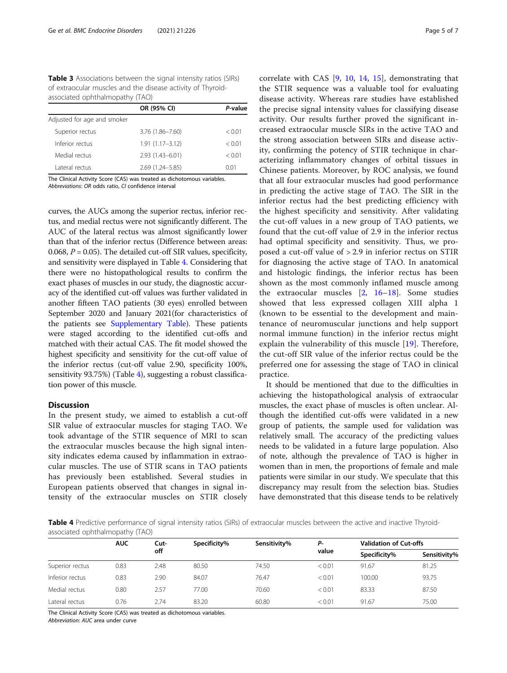<span id="page-4-0"></span>**Table 3** Associations between the signal intensity ratios (SIRs) of extraocular muscles and the disease activity of Thyroidassociated ophthalmopathy (TAO)

|                             | OR (95% CI)         | P-value |
|-----------------------------|---------------------|---------|
| Adjusted for age and smoker |                     |         |
| Superior rectus             | 3.76 (1.86-7.60)    | < 0.01  |
| Inferior rectus             | $1.91(1.17 - 3.12)$ | < 0.01  |
| Medial rectus               | $2.93(1.43 - 6.01)$ | < 0.01  |
| Lateral rectus              | 2.69 (1.24 - 5.85)  | 0.01    |

The Clinical Activity Score (CAS) was treated as dichotomous variables. Abbreviations: OR odds ratio, CI confidence interval

curves, the AUCs among the superior rectus, inferior rectus, and medial rectus were not significantly different. The AUC of the lateral rectus was almost significantly lower than that of the inferior rectus (Difference between areas: 0.068,  $P = 0.05$ ). The detailed cut-off SIR values, specificity, and sensitivity were displayed in Table 4. Considering that there were no histopathological results to confirm the exact phases of muscles in our study, the diagnostic accuracy of the identified cut-off values was further validated in another fifteen TAO patients (30 eyes) enrolled between September 2020 and January 2021(for characteristics of the patients see [Supplementary Table\)](#page-5-0). These patients were staged according to the identified cut-offs and matched with their actual CAS. The fit model showed the highest specificity and sensitivity for the cut-off value of the inferior rectus (cut-off value 2.90, specificity 100%, sensitivity 93.75%) (Table 4), suggesting a robust classification power of this muscle.

#### **Discussion**

In the present study, we aimed to establish a cut-off SIR value of extraocular muscles for staging TAO. We took advantage of the STIR sequence of MRI to scan the extraocular muscles because the high signal intensity indicates edema caused by inflammation in extraocular muscles. The use of STIR scans in TAO patients has previously been established. Several studies in European patients observed that changes in signal intensity of the extraocular muscles on STIR closely correlate with CAS [[9](#page-5-0), [10](#page-5-0), [14,](#page-5-0) [15](#page-5-0)], demonstrating that the STIR sequence was a valuable tool for evaluating disease activity. Whereas rare studies have established the precise signal intensity values for classifying disease activity. Our results further proved the significant increased extraocular muscle SIRs in the active TAO and the strong association between SIRs and disease activity, confirming the potency of STIR technique in characterizing inflammatory changes of orbital tissues in Chinese patients. Moreover, by ROC analysis, we found that all four extraocular muscles had good performance in predicting the active stage of TAO. The SIR in the inferior rectus had the best predicting efficiency with the highest specificity and sensitivity. After validating the cut-off values in a new group of TAO patients, we found that the cut-off value of 2.9 in the inferior rectus had optimal specificity and sensitivity. Thus, we proposed a cut-off value of > 2.9 in inferior rectus on STIR for diagnosing the active stage of TAO. In anatomical and histologic findings, the inferior rectus has been shown as the most commonly inflamed muscle among the extraocular muscles [[2,](#page-5-0) [16](#page-5-0)–[18\]](#page-5-0). Some studies showed that less expressed collagen XIII alpha 1 (known to be essential to the development and maintenance of neuromuscular junctions and help support normal immune function) in the inferior rectus might explain the vulnerability of this muscle [\[19](#page-5-0)]. Therefore, the cut-off SIR value of the inferior rectus could be the preferred one for assessing the stage of TAO in clinical practice.

It should be mentioned that due to the difficulties in achieving the histopathological analysis of extraocular muscles, the exact phase of muscles is often unclear. Although the identified cut-offs were validated in a new group of patients, the sample used for validation was relatively small. The accuracy of the predicting values needs to be validated in a future large population. Also of note, although the prevalence of TAO is higher in women than in men, the proportions of female and male patients were similar in our study. We speculate that this discrepancy may result from the selection bias. Studies have demonstrated that this disease tends to be relatively

Table 4 Predictive performance of signal intensity ratios (SIRs) of extraocular muscles between the active and inactive Thyroidassociated ophthalmopathy (TAO)

|                 | <b>AUC</b> | Cut-<br>off | Specificity% | Sensitivity% | Р-<br>value | <b>Validation of Cut-offs</b> |              |
|-----------------|------------|-------------|--------------|--------------|-------------|-------------------------------|--------------|
|                 |            |             |              |              |             | Specificity%                  | Sensitivity% |
| Superior rectus | 0.83       | 2.48        | 80.50        | 74.50        | < 0.01      | 91.67                         | 81.25        |
| Inferior rectus | 0.83       | 2.90        | 84.07        | 76.47        | < 0.01      | 100.00                        | 93.75        |
| Medial rectus   | 0.80       | 2.57        | 77.00        | 70.60        | < 0.01      | 83.33                         | 87.50        |
| Lateral rectus  | 0.76       | 2.74        | 83.20        | 60.80        | < 0.01      | 91.67                         | 75.00        |

The Clinical Activity Score (CAS) was treated as dichotomous variables.

Abbreviation: AUC area under curve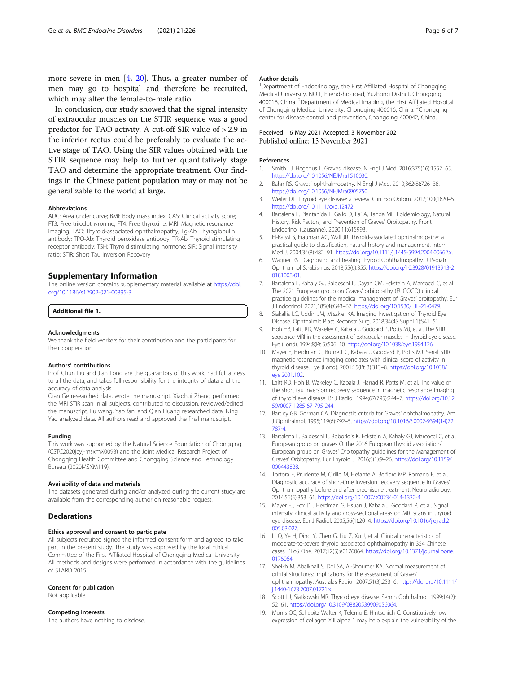<span id="page-5-0"></span>more severe in men [4, [20](#page-6-0)]. Thus, a greater number of men may go to hospital and therefore be recruited, which may alter the female-to-male ratio.

In conclusion, our study showed that the signal intensity of extraocular muscles on the STIR sequence was a good predictor for TAO activity. A cut-off SIR value of > 2.9 in the inferior rectus could be preferably to evaluate the active stage of TAO. Using the SIR values obtained with the STIR sequence may help to further quantitatively stage TAO and determine the appropriate treatment. Our findings in the Chinese patient population may or may not be generalizable to the world at large.

#### Abbreviations

AUC: Area under curve; BMI: Body mass index; CAS: Clinical activity score; FT3: Free triiodothyronine; FT4: Free thyroxine; MRI: Magnetic resonance imaging; TAO: Thyroid-associated ophthalmopathy; Tg-Ab: Thyroglobulin antibody; TPO-Ab: Thyroid peroxidase antibody; TR-Ab: Thyroid stimulating receptor antibody; TSH: Thyroid stimulating hormone; SIR: Signal intensity ratio; STIR: Short Tau Inversion Recovery

#### Supplementary Information

The online version contains supplementary material available at [https://doi.](https://doi.org/10.1186/s12902-021-00895-3) [org/10.1186/s12902-021-00895-3.](https://doi.org/10.1186/s12902-021-00895-3)

#### Additional file 1.

#### Acknowledgments

We thank the field workers for their contribution and the participants for their cooperation.

#### Authors' contributions

Prof. Chun Liu and Jian Long are the guarantors of this work, had full access to all the data, and takes full responsibility for the integrity of data and the accuracy of data analysis.

Qian Ge researched data, wrote the manuscript. Xiaohui Zhang performed the MRI STIR scan in all subjects, contributed to discussion, reviewed/edited the manuscript. Lu wang, Yao fan, and Qian Huang researched data. Ning Yao analyzed data. All authors read and approved the final manuscript.

#### Funding

This work was supported by the Natural Science Foundation of Chongqing (CSTC2020jcyj-msxmX0093) and the Joint Medical Research Project of Chongqing Health Committee and Chongqing Science and Technology Bureau (2020MSXM119).

#### Availability of data and materials

The datasets generated during and/or analyzed during the current study are available from the corresponding author on reasonable request.

#### **Declarations**

#### Ethics approval and consent to participate

All subjects recruited signed the informed consent form and agreed to take part in the present study. The study was approved by the local Ethical Committee of the First Affiliated Hospital of Chongqing Medical University. All methods and designs were performed in accordance with the guidelines of STARD 2015.

#### Consent for publication

Not applicable.

# Competing interests

The authors have nothing to disclose.

#### Author details

<sup>1</sup>Department of Endocrinology, the First Affiliated Hospital of Chongqing Medical University, NO.1, Friendship road, Yuzhong District, Chongqing 400016, China. <sup>2</sup> Department of Medical imaging, the First Affiliated Hospital of Chongqing Medical University, Chongqing 400016, China. <sup>3</sup>Chongqing center for disease control and prevention, Chongqing 400042, China.

#### Received: 16 May 2021 Accepted: 3 November 2021 Published online: 13 November 2021

#### References

- 1. Smith TJ, Hegedus L. Graves' disease. N Engl J Med. 2016;375(16):1552–65. [https://doi.org/10.1056/NEJMra1510030.](https://doi.org/10.1056/NEJMra1510030)
- 2. Bahn RS. Graves' ophthalmopathy. N Engl J Med. 2010;362(8):726–38. [https://doi.org/10.1056/NEJMra0905750.](https://doi.org/10.1056/NEJMra0905750)
- 3. Weiler DL. Thyroid eye disease: a review. Clin Exp Optom. 2017;100(1):20–5. <https://doi.org/10.1111/cxo.12472>.
- 4. Bartalena L, Piantanida E, Gallo D, Lai A, Tanda ML. Epidemiology, Natural History, Risk Factors, and Prevention of Graves' Orbitopathy. Front Endocrinol (Lausanne). 2020;11:615993.
- 5. El-Kaissi S, Frauman AG, Wall JR. Thyroid-associated ophthalmopathy: a practical guide to classification, natural history and management. Intern Med J. 2004;34(8):482–91. [https://doi.org/10.1111/j.1445-5994.2004.00662.x.](https://doi.org/10.1111/j.1445-5994.2004.00662.x)
- 6. Wagner RS. Diagnosing and treating thyroid Ophthalmopathy. J Pediatr Ophthalmol Strabismus. 2018;55(6):355. [https://doi.org/10.3928/01913913-2](https://doi.org/10.3928/01913913-20181008-01) [0181008-01.](https://doi.org/10.3928/01913913-20181008-01)
- 7. Bartalena L, Kahaly GJ, Baldeschi L, Dayan CM, Eckstein A, Marcocci C, et al. The 2021 European group on Graves' orbitopathy (EUGOGO) clinical practice guidelines for the medical management of Graves' orbitopathy. Eur J Endocrinol. 2021;185(4):G43–67. <https://doi.org/10.1530/EJE-21-0479>.
- 8. Siakallis LC, Uddin JM, Miszkiel KA. Imaging Investigation of Thyroid Eye Disease. Ophthalmic Plast Reconstr Surg. 2018;34(4S Suppl 1):S41–51.
- 9. Hoh HB, Laitt RD, Wakeley C, Kabala J, Goddard P, Potts MJ, et al. The STIR sequence MRI in the assessment of extraocular muscles in thyroid eye disease. Eye (Lond). 1994;8(Pt 5):506–10. <https://doi.org/10.1038/eye.1994.126>.
- 10. Mayer E, Herdman G, Burnett C, Kabala J, Goddard P, Potts MJ. Serial STIR magnetic resonance imaging correlates with clinical score of activity in thyroid disease. Eye (Lond). 2001;15(Pt 3):313–8. [https://doi.org/10.1038/](https://doi.org/10.1038/eye.2001.102) [eye.2001.102.](https://doi.org/10.1038/eye.2001.102)
- 11. Laitt RD, Hoh B, Wakeley C, Kabala J, Harrad R, Potts M, et al. The value of the short tau inversion recovery sequence in magnetic resonance imaging of thyroid eye disease. Br J Radiol. 1994;67(795):244–7. [https://doi.org/10.12](https://doi.org/10.1259/0007-1285-67-795-244) [59/0007-1285-67-795-244.](https://doi.org/10.1259/0007-1285-67-795-244)
- 12. Bartley GB, Gorman CA. Diagnostic criteria for Graves' ophthalmopathy. Am J Ophthalmol. 1995;119(6):792–5. [https://doi.org/10.1016/S0002-9394\(14\)72](https://doi.org/10.1016/S0002-9394(14)72787-4) [787-4](https://doi.org/10.1016/S0002-9394(14)72787-4).
- 13. Bartalena L, Baldeschi L, Boboridis K, Eckstein A, Kahaly GJ, Marcocci C, et al. European group on graves O. the 2016 European thyroid association/ European group on Graves' Orbitopathy guidelines for the Management of Graves' Orbitopathy. Eur Thyroid J. 2016;5(1):9–26. [https://doi.org/10.1159/](https://doi.org/10.1159/000443828) [000443828](https://doi.org/10.1159/000443828).
- 14. Tortora F, Prudente M, Cirillo M, Elefante A, Belfiore MP, Romano F, et al. Diagnostic accuracy of short-time inversion recovery sequence in Graves' Ophthalmopathy before and after prednisone treatment. Neuroradiology. 2014;56(5):353–61. <https://doi.org/10.1007/s00234-014-1332-4>.
- 15. Mayer EJ, Fox DL, Herdman G, Hsuan J, Kabala J, Goddard P, et al. Signal intensity, clinical activity and cross-sectional areas on MRI scans in thyroid eye disease. Eur J Radiol. 2005;56(1):20–4. [https://doi.org/10.1016/j.ejrad.2](https://doi.org/10.1016/j.ejrad.2005.03.027) [005.03.027](https://doi.org/10.1016/j.ejrad.2005.03.027).
- 16. Li Q, Ye H, Ding Y, Chen G, Liu Z, Xu J, et al. Clinical characteristics of moderate-to-severe thyroid associated ophthalmopathy in 354 Chinese cases. PLoS One. 2017;12(5):e0176064. [https://doi.org/10.1371/journal.pone.](https://doi.org/10.1371/journal.pone.0176064) [0176064.](https://doi.org/10.1371/journal.pone.0176064)
- 17. Sheikh M, Abalkhail S, Doi SA, Al-Shoumer KA. Normal measurement of orbital structures: implications for the assessment of Graves' ophthalmopathy. Australas Radiol. 2007;51(3):253–6. [https://doi.org/10.1111/](https://doi.org/10.1111/j.1440-1673.2007.01721.x) [j.1440-1673.2007.01721.x](https://doi.org/10.1111/j.1440-1673.2007.01721.x).
- 18. Scott IU, Siatkowski MR. Thyroid eye disease. Semin Ophthalmol. 1999;14(2): 52–61. [https://doi.org/10.3109/08820539909056064.](https://doi.org/10.3109/08820539909056064)
- 19. Morris OC, Schebitz Walter K, Telemo E, Hintschich C. Constitutively low expression of collagen XIII alpha 1 may help explain the vulnerability of the